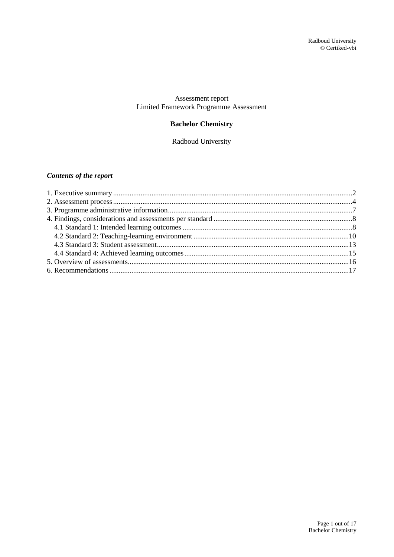### Assessment report Limited Framework Programme Assessment

## **Bachelor Chemistry**

Radboud University

## *Contents of the report*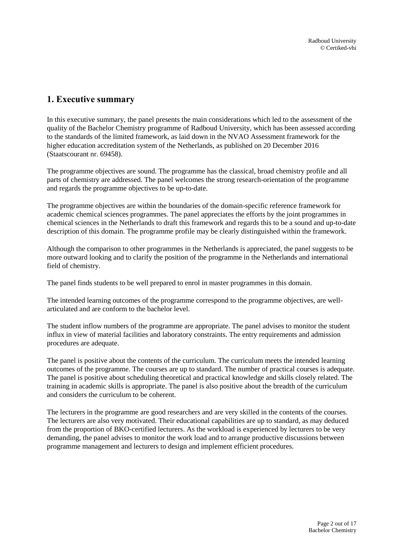# <span id="page-1-0"></span>**1. Executive summary**

In this executive summary, the panel presents the main considerations which led to the assessment of the quality of the Bachelor Chemistry programme of Radboud University, which has been assessed according to the standards of the limited framework, as laid down in the NVAO Assessment framework for the higher education accreditation system of the Netherlands, as published on 20 December 2016 (Staatscourant nr. 69458).

The programme objectives are sound. The programme has the classical, broad chemistry profile and all parts of chemistry are addressed. The panel welcomes the strong research-orientation of the programme and regards the programme objectives to be up-to-date.

The programme objectives are within the boundaries of the domain-specific reference framework for academic chemical sciences programmes. The panel appreciates the efforts by the joint programmes in chemical sciences in the Netherlands to draft this framework and regards this to be a sound and up-to-date description of this domain. The programme profile may be clearly distinguished within the framework.

Although the comparison to other programmes in the Netherlands is appreciated, the panel suggests to be more outward looking and to clarify the position of the programme in the Netherlands and international field of chemistry.

The panel finds students to be well prepared to enrol in master programmes in this domain.

The intended learning outcomes of the programme correspond to the programme objectives, are wellarticulated and are conform to the bachelor level.

The student inflow numbers of the programme are appropriate. The panel advises to monitor the student influx in view of material facilities and laboratory constraints. The entry requirements and admission procedures are adequate.

The panel is positive about the contents of the curriculum. The curriculum meets the intended learning outcomes of the programme. The courses are up to standard. The number of practical courses is adequate. The panel is positive about scheduling theoretical and practical knowledge and skills closely related. The training in academic skills is appropriate. The panel is also positive about the breadth of the curriculum and considers the curriculum to be coherent.

The lecturers in the programme are good researchers and are very skilled in the contents of the courses. The lecturers are also very motivated. Their educational capabilities are up to standard, as may deduced from the proportion of BKO-certified lecturers. As the workload is experienced by lecturers to be very demanding, the panel advises to monitor the work load and to arrange productive discussions between programme management and lecturers to design and implement efficient procedures.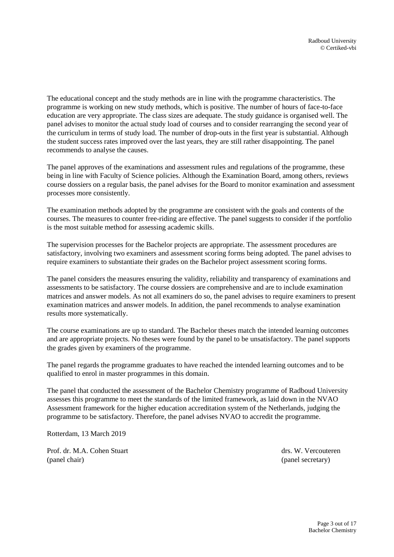The educational concept and the study methods are in line with the programme characteristics. The programme is working on new study methods, which is positive. The number of hours of face-to-face education are very appropriate. The class sizes are adequate. The study guidance is organised well. The panel advises to monitor the actual study load of courses and to consider rearranging the second year of the curriculum in terms of study load. The number of drop-outs in the first year is substantial. Although the student success rates improved over the last years, they are still rather disappointing. The panel recommends to analyse the causes.

The panel approves of the examinations and assessment rules and regulations of the programme, these being in line with Faculty of Science policies. Although the Examination Board, among others, reviews course dossiers on a regular basis, the panel advises for the Board to monitor examination and assessment processes more consistently.

The examination methods adopted by the programme are consistent with the goals and contents of the courses. The measures to counter free-riding are effective. The panel suggests to consider if the portfolio is the most suitable method for assessing academic skills.

The supervision processes for the Bachelor projects are appropriate. The assessment procedures are satisfactory, involving two examiners and assessment scoring forms being adopted. The panel advises to require examiners to substantiate their grades on the Bachelor project assessment scoring forms.

The panel considers the measures ensuring the validity, reliability and transparency of examinations and assessments to be satisfactory. The course dossiers are comprehensive and are to include examination matrices and answer models. As not all examiners do so, the panel advises to require examiners to present examination matrices and answer models. In addition, the panel recommends to analyse examination results more systematically.

The course examinations are up to standard. The Bachelor theses match the intended learning outcomes and are appropriate projects. No theses were found by the panel to be unsatisfactory. The panel supports the grades given by examiners of the programme.

The panel regards the programme graduates to have reached the intended learning outcomes and to be qualified to enrol in master programmes in this domain.

The panel that conducted the assessment of the Bachelor Chemistry programme of Radboud University assesses this programme to meet the standards of the limited framework, as laid down in the NVAO Assessment framework for the higher education accreditation system of the Netherlands, judging the programme to be satisfactory. Therefore, the panel advises NVAO to accredit the programme.

Rotterdam, 13 March 2019

Prof. dr. M.A. Cohen Stuart drs. W. Vercouteren (panel chair) (panel secretary)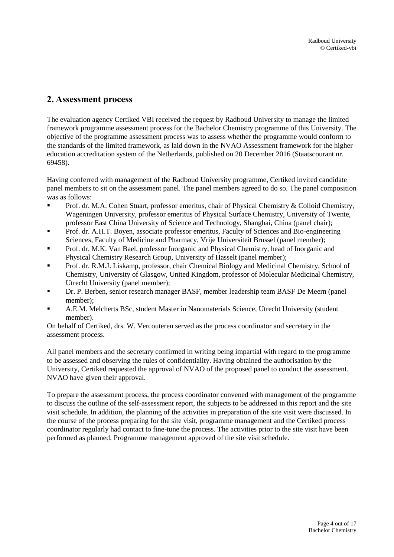# <span id="page-3-0"></span>**2. Assessment process**

The evaluation agency Certiked VBI received the request by Radboud University to manage the limited framework programme assessment process for the Bachelor Chemistry programme of this University. The objective of the programme assessment process was to assess whether the programme would conform to the standards of the limited framework, as laid down in the NVAO Assessment framework for the higher education accreditation system of the Netherlands, published on 20 December 2016 (Staatscourant nr. 69458).

Having conferred with management of the Radboud University programme, Certiked invited candidate panel members to sit on the assessment panel. The panel members agreed to do so. The panel composition was as follows:

- Prof. dr. M.A. Cohen Stuart, professor emeritus, chair of Physical Chemistry & Colloid Chemistry, Wageningen University, professor emeritus of Physical Surface Chemistry, University of Twente, professor East China University of Science and Technology, Shanghai, China (panel chair);
- Prof. dr. A.H.T. Boyen, associate professor emeritus, Faculty of Sciences and Bio-engineering Sciences, Faculty of Medicine and Pharmacy, Vrije Universiteit Brussel (panel member);
- Prof. dr. M.K. Van Bael, professor Inorganic and Physical Chemistry, head of Inorganic and Physical Chemistry Research Group, University of Hasselt (panel member);
- Prof. dr. R.M.J. Liskamp, professor, chair Chemical Biology and Medicinal Chemistry, School of Chemistry, University of Glasgow, United Kingdom, professor of Molecular Medicinal Chemistry, Utrecht University (panel member);
- Dr. P. Berben, senior research manager BASF, member leadership team BASF De Meern (panel member);
- A.E.M. Melcherts BSc, student Master in Nanomaterials Science, Utrecht University (student member).

On behalf of Certiked, drs. W. Vercouteren served as the process coordinator and secretary in the assessment process.

All panel members and the secretary confirmed in writing being impartial with regard to the programme to be assessed and observing the rules of confidentiality. Having obtained the authorisation by the University, Certiked requested the approval of NVAO of the proposed panel to conduct the assessment. NVAO have given their approval.

To prepare the assessment process, the process coordinator convened with management of the programme to discuss the outline of the self-assessment report, the subjects to be addressed in this report and the site visit schedule. In addition, the planning of the activities in preparation of the site visit were discussed. In the course of the process preparing for the site visit, programme management and the Certiked process coordinator regularly had contact to fine-tune the process. The activities prior to the site visit have been performed as planned. Programme management approved of the site visit schedule.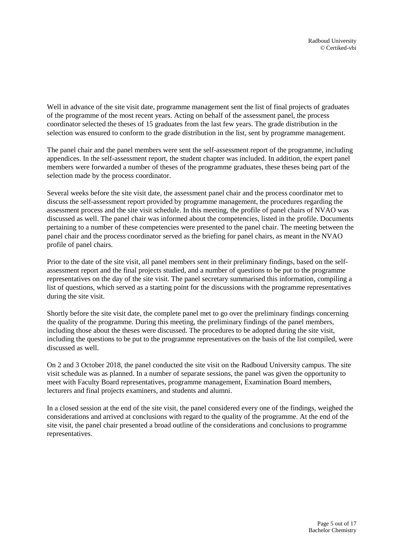Well in advance of the site visit date, programme management sent the list of final projects of graduates of the programme of the most recent years. Acting on behalf of the assessment panel, the process coordinator selected the theses of 15 graduates from the last few years. The grade distribution in the selection was ensured to conform to the grade distribution in the list, sent by programme management.

The panel chair and the panel members were sent the self-assessment report of the programme, including appendices. In the self-assessment report, the student chapter was included. In addition, the expert panel members were forwarded a number of theses of the programme graduates, these theses being part of the selection made by the process coordinator.

Several weeks before the site visit date, the assessment panel chair and the process coordinator met to discuss the self-assessment report provided by programme management, the procedures regarding the assessment process and the site visit schedule. In this meeting, the profile of panel chairs of NVAO was discussed as well. The panel chair was informed about the competencies, listed in the profile. Documents pertaining to a number of these competencies were presented to the panel chair. The meeting between the panel chair and the process coordinator served as the briefing for panel chairs, as meant in the NVAO profile of panel chairs.

Prior to the date of the site visit, all panel members sent in their preliminary findings, based on the selfassessment report and the final projects studied, and a number of questions to be put to the programme representatives on the day of the site visit. The panel secretary summarised this information, compiling a list of questions, which served as a starting point for the discussions with the programme representatives during the site visit.

Shortly before the site visit date, the complete panel met to go over the preliminary findings concerning the quality of the programme. During this meeting, the preliminary findings of the panel members, including those about the theses were discussed. The procedures to be adopted during the site visit, including the questions to be put to the programme representatives on the basis of the list compiled, were discussed as well.

On 2 and 3 October 2018, the panel conducted the site visit on the Radboud University campus. The site visit schedule was as planned. In a number of separate sessions, the panel was given the opportunity to meet with Faculty Board representatives, programme management, Examination Board members, lecturers and final projects examiners, and students and alumni.

In a closed session at the end of the site visit, the panel considered every one of the findings, weighed the considerations and arrived at conclusions with regard to the quality of the programme. At the end of the site visit, the panel chair presented a broad outline of the considerations and conclusions to programme representatives.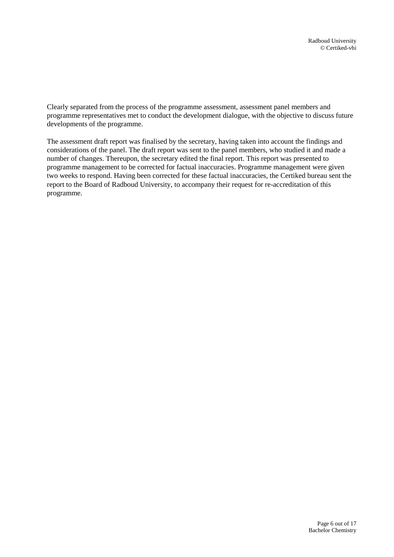Clearly separated from the process of the programme assessment, assessment panel members and programme representatives met to conduct the development dialogue, with the objective to discuss future developments of the programme.

The assessment draft report was finalised by the secretary, having taken into account the findings and considerations of the panel. The draft report was sent to the panel members, who studied it and made a number of changes. Thereupon, the secretary edited the final report. This report was presented to programme management to be corrected for factual inaccuracies. Programme management were given two weeks to respond. Having been corrected for these factual inaccuracies, the Certiked bureau sent the report to the Board of Radboud University, to accompany their request for re-accreditation of this programme.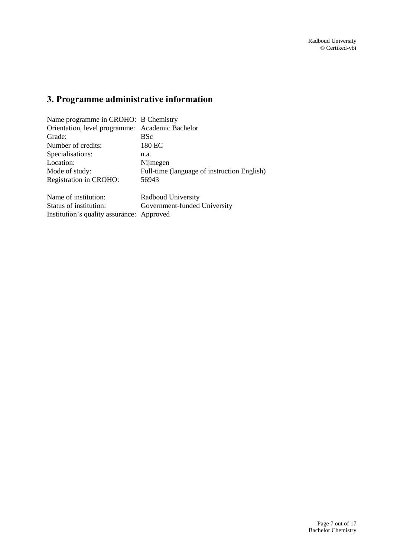# <span id="page-6-0"></span>**3. Programme administrative information**

| Name programme in CROHO: B Chemistry            |                                             |  |
|-------------------------------------------------|---------------------------------------------|--|
| Orientation, level programme: Academic Bachelor |                                             |  |
| Grade:                                          | <b>BSc</b>                                  |  |
| Number of credits:                              | 180 EC                                      |  |
| Specialisations:                                | n.a.                                        |  |
| Location:                                       | Nijmegen                                    |  |
| Mode of study:                                  | Full-time (language of instruction English) |  |
| Registration in CROHO:                          | 56943                                       |  |
| Name of institution:                            | Radboud University                          |  |
| Status of institution:                          | Government-funded University                |  |
| Institution's quality assurance: Approved       |                                             |  |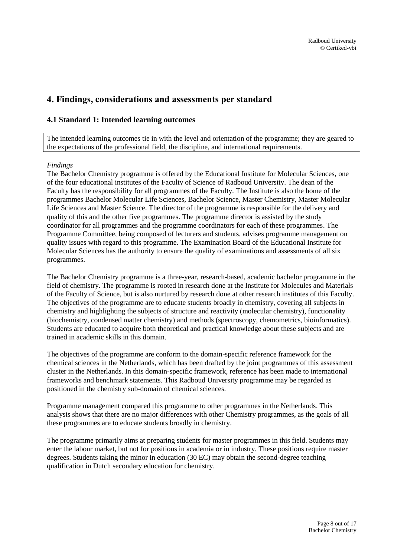# <span id="page-7-0"></span>**4. Findings, considerations and assessments per standard**

### <span id="page-7-1"></span>**4.1 Standard 1: Intended learning outcomes**

The intended learning outcomes tie in with the level and orientation of the programme; they are geared to the expectations of the professional field, the discipline, and international requirements.

### *Findings*

The Bachelor Chemistry programme is offered by the Educational Institute for Molecular Sciences, one of the four educational institutes of the Faculty of Science of Radboud University. The dean of the Faculty has the responsibility for all programmes of the Faculty. The Institute is also the home of the programmes Bachelor Molecular Life Sciences, Bachelor Science, Master Chemistry, Master Molecular Life Sciences and Master Science. The director of the programme is responsible for the delivery and quality of this and the other five programmes. The programme director is assisted by the study coordinator for all programmes and the programme coordinators for each of these programmes. The Programme Committee, being composed of lecturers and students, advises programme management on quality issues with regard to this programme. The Examination Board of the Educational Institute for Molecular Sciences has the authority to ensure the quality of examinations and assessments of all six programmes.

The Bachelor Chemistry programme is a three-year, research-based, academic bachelor programme in the field of chemistry. The programme is rooted in research done at the Institute for Molecules and Materials of the Faculty of Science, but is also nurtured by research done at other research institutes of this Faculty. The objectives of the programme are to educate students broadly in chemistry, covering all subjects in chemistry and highlighting the subjects of structure and reactivity (molecular chemistry), functionality (biochemistry, condensed matter chemistry) and methods (spectroscopy, chemometrics, bioinformatics). Students are educated to acquire both theoretical and practical knowledge about these subjects and are trained in academic skills in this domain.

The objectives of the programme are conform to the domain-specific reference framework for the chemical sciences in the Netherlands, which has been drafted by the joint programmes of this assessment cluster in the Netherlands. In this domain-specific framework, reference has been made to international frameworks and benchmark statements. This Radboud University programme may be regarded as positioned in the chemistry sub-domain of chemical sciences.

Programme management compared this programme to other programmes in the Netherlands. This analysis shows that there are no major differences with other Chemistry programmes, as the goals of all these programmes are to educate students broadly in chemistry.

The programme primarily aims at preparing students for master programmes in this field. Students may enter the labour market, but not for positions in academia or in industry. These positions require master degrees. Students taking the minor in education (30 EC) may obtain the second-degree teaching qualification in Dutch secondary education for chemistry.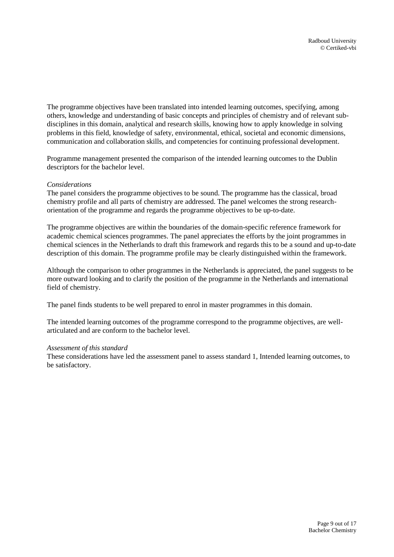The programme objectives have been translated into intended learning outcomes, specifying, among others, knowledge and understanding of basic concepts and principles of chemistry and of relevant subdisciplines in this domain, analytical and research skills, knowing how to apply knowledge in solving problems in this field, knowledge of safety, environmental, ethical, societal and economic dimensions, communication and collaboration skills, and competencies for continuing professional development.

Programme management presented the comparison of the intended learning outcomes to the Dublin descriptors for the bachelor level.

#### *Considerations*

The panel considers the programme objectives to be sound. The programme has the classical, broad chemistry profile and all parts of chemistry are addressed. The panel welcomes the strong researchorientation of the programme and regards the programme objectives to be up-to-date.

The programme objectives are within the boundaries of the domain-specific reference framework for academic chemical sciences programmes. The panel appreciates the efforts by the joint programmes in chemical sciences in the Netherlands to draft this framework and regards this to be a sound and up-to-date description of this domain. The programme profile may be clearly distinguished within the framework.

Although the comparison to other programmes in the Netherlands is appreciated, the panel suggests to be more outward looking and to clarify the position of the programme in the Netherlands and international field of chemistry.

The panel finds students to be well prepared to enrol in master programmes in this domain.

The intended learning outcomes of the programme correspond to the programme objectives, are wellarticulated and are conform to the bachelor level.

#### *Assessment of this standard*

These considerations have led the assessment panel to assess standard 1, Intended learning outcomes, to be satisfactory.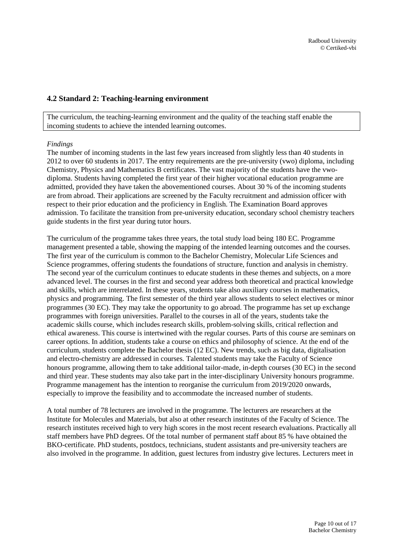### <span id="page-9-0"></span>**4.2 Standard 2: Teaching-learning environment**

The curriculum, the teaching-learning environment and the quality of the teaching staff enable the incoming students to achieve the intended learning outcomes.

#### *Findings*

The number of incoming students in the last few years increased from slightly less than 40 students in 2012 to over 60 students in 2017. The entry requirements are the pre-university (vwo) diploma, including Chemistry, Physics and Mathematics B certificates. The vast majority of the students have the vwodiploma. Students having completed the first year of their higher vocational education programme are admitted, provided they have taken the abovementioned courses. About 30 % of the incoming students are from abroad. Their applications are screened by the Faculty recruitment and admission officer with respect to their prior education and the proficiency in English. The Examination Board approves admission. To facilitate the transition from pre-university education, secondary school chemistry teachers guide students in the first year during tutor hours.

The curriculum of the programme takes three years, the total study load being 180 EC. Programme management presented a table, showing the mapping of the intended learning outcomes and the courses. The first year of the curriculum is common to the Bachelor Chemistry, Molecular Life Sciences and Science programmes, offering students the foundations of structure, function and analysis in chemistry. The second year of the curriculum continues to educate students in these themes and subjects, on a more advanced level. The courses in the first and second year address both theoretical and practical knowledge and skills, which are interrelated. In these years, students take also auxiliary courses in mathematics, physics and programming. The first semester of the third year allows students to select electives or minor programmes (30 EC). They may take the opportunity to go abroad. The programme has set up exchange programmes with foreign universities. Parallel to the courses in all of the years, students take the academic skills course, which includes research skills, problem-solving skills, critical reflection and ethical awareness. This course is intertwined with the regular courses. Parts of this course are seminars on career options. In addition, students take a course on ethics and philosophy of science. At the end of the curriculum, students complete the Bachelor thesis (12 EC). New trends, such as big data, digitalisation and electro-chemistry are addressed in courses. Talented students may take the Faculty of Science honours programme, allowing them to take additional tailor-made, in-depth courses (30 EC) in the second and third year. These students may also take part in the inter-disciplinary University honours programme. Programme management has the intention to reorganise the curriculum from 2019/2020 onwards, especially to improve the feasibility and to accommodate the increased number of students.

A total number of 78 lecturers are involved in the programme. The lecturers are researchers at the Institute for Molecules and Materials, but also at other research institutes of the Faculty of Science. The research institutes received high to very high scores in the most recent research evaluations. Practically all staff members have PhD degrees. Of the total number of permanent staff about 85 % have obtained the BKO-certificate. PhD students, postdocs, technicians, student assistants and pre-university teachers are also involved in the programme. In addition, guest lectures from industry give lectures. Lecturers meet in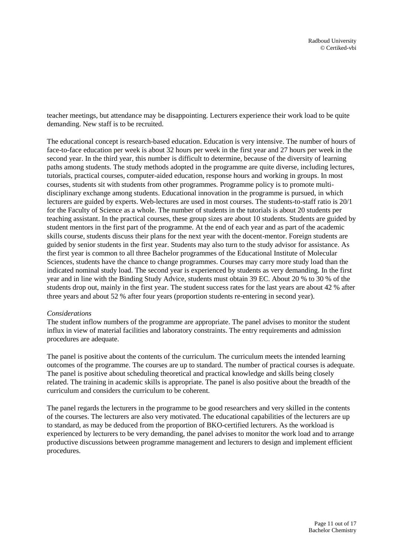teacher meetings, but attendance may be disappointing. Lecturers experience their work load to be quite demanding. New staff is to be recruited.

The educational concept is research-based education. Education is very intensive. The number of hours of face-to-face education per week is about 32 hours per week in the first year and 27 hours per week in the second year. In the third year, this number is difficult to determine, because of the diversity of learning paths among students. The study methods adopted in the programme are quite diverse, including lectures, tutorials, practical courses, computer-aided education, response hours and working in groups. In most courses, students sit with students from other programmes. Programme policy is to promote multidisciplinary exchange among students. Educational innovation in the programme is pursued, in which lecturers are guided by experts. Web-lectures are used in most courses. The students-to-staff ratio is 20/1 for the Faculty of Science as a whole. The number of students in the tutorials is about 20 students per teaching assistant. In the practical courses, these group sizes are about 10 students. Students are guided by student mentors in the first part of the programme. At the end of each year and as part of the academic skills course, students discuss their plans for the next year with the docent-mentor. Foreign students are guided by senior students in the first year. Students may also turn to the study advisor for assistance. As the first year is common to all three Bachelor programmes of the Educational Institute of Molecular Sciences, students have the chance to change programmes. Courses may carry more study load than the indicated nominal study load. The second year is experienced by students as very demanding. In the first year and in line with the Binding Study Advice, students must obtain 39 EC. About 20 % to 30 % of the students drop out, mainly in the first year. The student success rates for the last years are about 42 % after three years and about 52 % after four years (proportion students re-entering in second year).

#### *Considerations*

The student inflow numbers of the programme are appropriate. The panel advises to monitor the student influx in view of material facilities and laboratory constraints. The entry requirements and admission procedures are adequate.

The panel is positive about the contents of the curriculum. The curriculum meets the intended learning outcomes of the programme. The courses are up to standard. The number of practical courses is adequate. The panel is positive about scheduling theoretical and practical knowledge and skills being closely related. The training in academic skills is appropriate. The panel is also positive about the breadth of the curriculum and considers the curriculum to be coherent.

The panel regards the lecturers in the programme to be good researchers and very skilled in the contents of the courses. The lecturers are also very motivated. The educational capabilities of the lecturers are up to standard, as may be deduced from the proportion of BKO-certified lecturers. As the workload is experienced by lecturers to be very demanding, the panel advises to monitor the work load and to arrange productive discussions between programme management and lecturers to design and implement efficient procedures.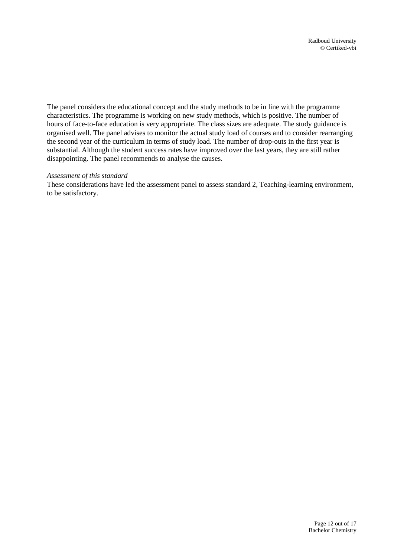The panel considers the educational concept and the study methods to be in line with the programme characteristics. The programme is working on new study methods, which is positive. The number of hours of face-to-face education is very appropriate. The class sizes are adequate. The study guidance is organised well. The panel advises to monitor the actual study load of courses and to consider rearranging the second year of the curriculum in terms of study load. The number of drop-outs in the first year is substantial. Although the student success rates have improved over the last years, they are still rather disappointing. The panel recommends to analyse the causes.

#### *Assessment of this standard*

These considerations have led the assessment panel to assess standard 2, Teaching-learning environment, to be satisfactory.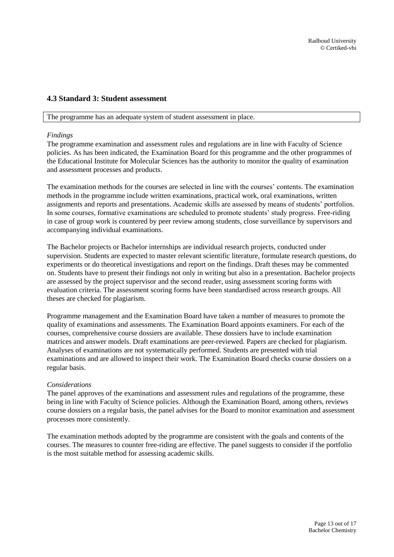### <span id="page-12-0"></span>**4.3 Standard 3: Student assessment**

#### The programme has an adequate system of student assessment in place.

#### *Findings*

The programme examination and assessment rules and regulations are in line with Faculty of Science policies. As has been indicated, the Examination Board for this programme and the other programmes of the Educational Institute for Molecular Sciences has the authority to monitor the quality of examination and assessment processes and products.

The examination methods for the courses are selected in line with the courses' contents. The examination methods in the programme include written examinations, practical work, oral examinations, written assignments and reports and presentations. Academic skills are assessed by means of students' portfolios. In some courses, formative examinations are scheduled to promote students' study progress. Free-riding in case of group work is countered by peer review among students, close surveillance by supervisors and accompanying individual examinations.

The Bachelor projects or Bachelor internships are individual research projects, conducted under supervision. Students are expected to master relevant scientific literature, formulate research questions, do experiments or do theoretical investigations and report on the findings. Draft theses may be commented on. Students have to present their findings not only in writing but also in a presentation. Bachelor projects are assessed by the project supervisor and the second reader, using assessment scoring forms with evaluation criteria. The assessment scoring forms have been standardised across research groups. All theses are checked for plagiarism.

Programme management and the Examination Board have taken a number of measures to promote the quality of examinations and assessments. The Examination Board appoints examiners. For each of the courses, comprehensive course dossiers are available. These dossiers have to include examination matrices and answer models. Draft examinations are peer-reviewed. Papers are checked for plagiarism. Analyses of examinations are not systematically performed. Students are presented with trial examinations and are allowed to inspect their work. The Examination Board checks course dossiers on a regular basis.

#### *Considerations*

The panel approves of the examinations and assessment rules and regulations of the programme, these being in line with Faculty of Science policies. Although the Examination Board, among others, reviews course dossiers on a regular basis, the panel advises for the Board to monitor examination and assessment processes more consistently.

The examination methods adopted by the programme are consistent with the goals and contents of the courses. The measures to counter free-riding are effective. The panel suggests to consider if the portfolio is the most suitable method for assessing academic skills.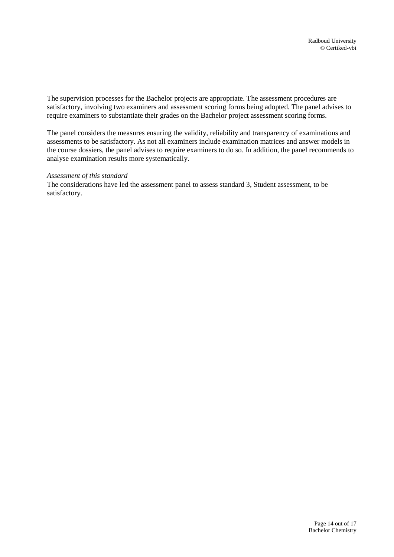The supervision processes for the Bachelor projects are appropriate. The assessment procedures are satisfactory, involving two examiners and assessment scoring forms being adopted. The panel advises to require examiners to substantiate their grades on the Bachelor project assessment scoring forms.

The panel considers the measures ensuring the validity, reliability and transparency of examinations and assessments to be satisfactory. As not all examiners include examination matrices and answer models in the course dossiers, the panel advises to require examiners to do so. In addition, the panel recommends to analyse examination results more systematically.

#### *Assessment of this standard*

The considerations have led the assessment panel to assess standard 3, Student assessment, to be satisfactory.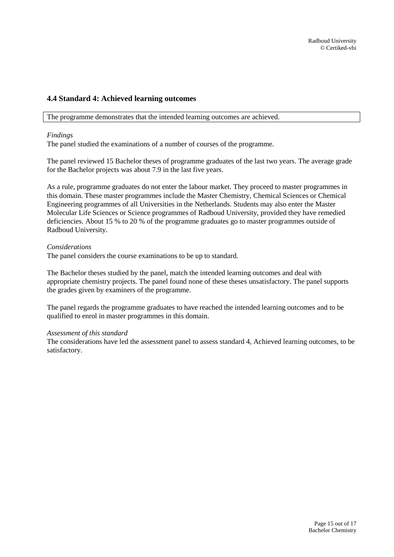### <span id="page-14-0"></span>**4.4 Standard 4: Achieved learning outcomes**

The programme demonstrates that the intended learning outcomes are achieved.

#### *Findings*

The panel studied the examinations of a number of courses of the programme.

The panel reviewed 15 Bachelor theses of programme graduates of the last two years. The average grade for the Bachelor projects was about 7.9 in the last five years.

As a rule, programme graduates do not enter the labour market. They proceed to master programmes in this domain. These master programmes include the Master Chemistry, Chemical Sciences or Chemical Engineering programmes of all Universities in the Netherlands. Students may also enter the Master Molecular Life Sciences or Science programmes of Radboud University, provided they have remedied deficiencies. About 15 % to 20 % of the programme graduates go to master programmes outside of Radboud University.

#### *Considerations*

The panel considers the course examinations to be up to standard.

The Bachelor theses studied by the panel, match the intended learning outcomes and deal with appropriate chemistry projects. The panel found none of these theses unsatisfactory. The panel supports the grades given by examiners of the programme.

The panel regards the programme graduates to have reached the intended learning outcomes and to be qualified to enrol in master programmes in this domain.

#### *Assessment of this standard*

The considerations have led the assessment panel to assess standard 4, Achieved learning outcomes, to be satisfactory.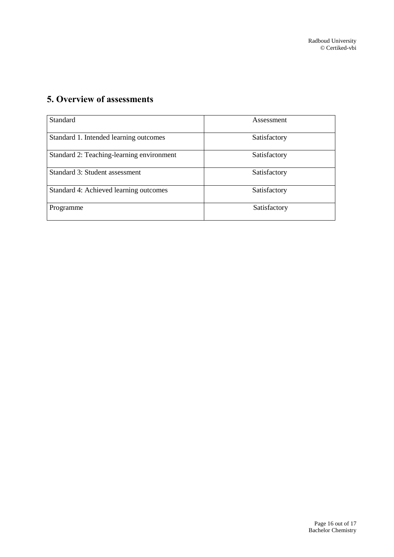# <span id="page-15-0"></span>**5. Overview of assessments**

| Standard                                  | Assessment   |
|-------------------------------------------|--------------|
| Standard 1. Intended learning outcomes    | Satisfactory |
| Standard 2: Teaching-learning environment | Satisfactory |
| Standard 3: Student assessment            | Satisfactory |
| Standard 4: Achieved learning outcomes    | Satisfactory |
| Programme                                 | Satisfactory |